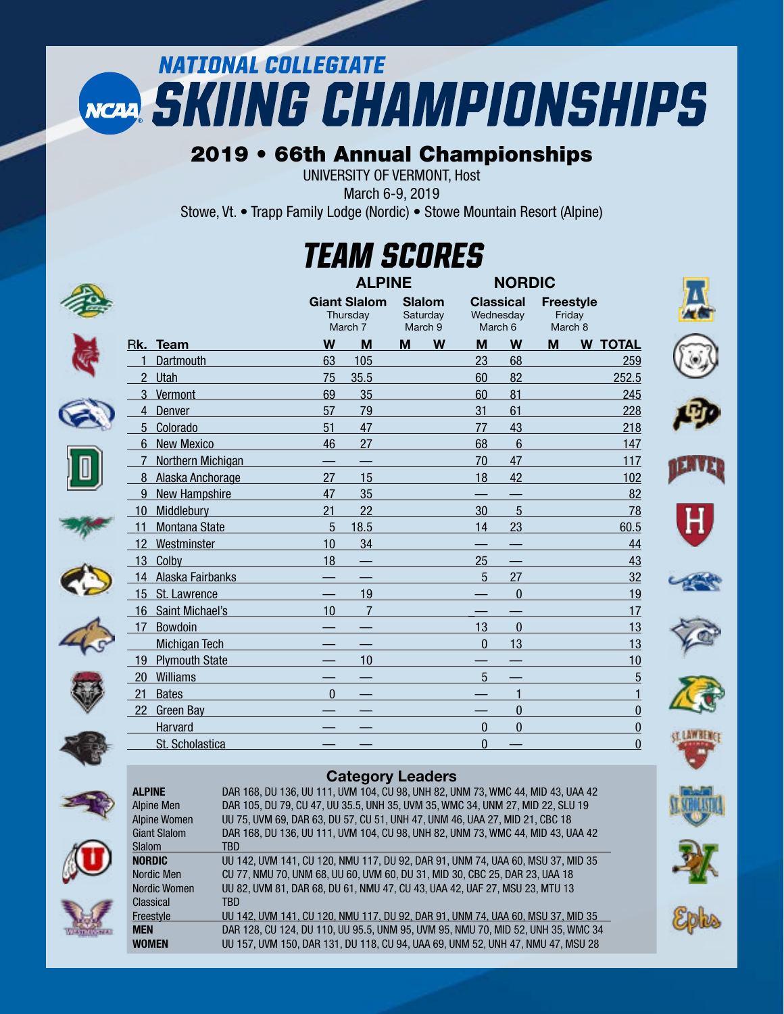# **NATIONAL COLLEGIATE** NCAA SKIING CHAMPIONSHIPS

### 2019 • 66th Annual Championships

UNIVERSITY OF VERMONT, Host

March 6-9, 2019

Stowe, Vt. • Trapp Family Lodge (Nordic) • Stowe Mountain Resort (Alpine)

## *TEAM SCORES*

|                |                       |          | <b>ALPINE</b>                              |   |                               |                                          | <b>NORDIC</b>  |                                       |   |                |
|----------------|-----------------------|----------|--------------------------------------------|---|-------------------------------|------------------------------------------|----------------|---------------------------------------|---|----------------|
|                |                       |          | <b>Giant Slalom</b><br>Thursday<br>March 7 |   | Slalom<br>Saturday<br>March 9 | <b>Classical</b><br>Wednesday<br>March 6 |                | <b>Freestyle</b><br>Friday<br>March 8 |   |                |
|                | Rk. Team              | W        | M                                          | M | W                             | M                                        | W              | M                                     | W | <b>TOTAL</b>   |
|                | Dartmouth             | 63       | 105                                        |   |                               | 23                                       | 68             |                                       |   | 259            |
| $\overline{2}$ | Utah                  | 75       | 35.5                                       |   |                               | 60                                       | 82             |                                       |   | 252.5          |
| 3              | Vermont               | 69       | 35                                         |   |                               | 60                                       | 81             |                                       |   | 245            |
| 4              | Denver                | 57       | 79                                         |   |                               | 31                                       | 61             |                                       |   | 228            |
| 5              | Colorado              | 51       | 47                                         |   |                               | 77                                       | 43             |                                       |   | 218            |
| 6              | <b>New Mexico</b>     | 46       | 27                                         |   |                               | 68                                       | $6\phantom{1}$ |                                       |   | 147            |
| 7              | Northern Michigan     |          |                                            |   |                               | 70                                       | 47             |                                       |   | 117            |
| 8              | Alaska Anchorage      | 27       | 15                                         |   |                               | 18                                       | 42             |                                       |   | 102            |
| 9              | New Hampshire         | 47       | 35                                         |   |                               |                                          |                |                                       |   | 82             |
| 10             | Middlebury            | 21       | 22                                         |   |                               | 30                                       | 5              |                                       |   | 78             |
| 11             | Montana State         | 5        | 18.5                                       |   |                               | 14                                       | 23             |                                       |   | 60.5           |
| 12             | Westminster           | 10       | 34                                         |   |                               |                                          |                |                                       |   | 44             |
| 13             | Colby                 | 18       |                                            |   |                               | 25                                       |                |                                       |   | 43             |
| 14             | Alaska Fairbanks      |          |                                            |   |                               | 5                                        | 27             |                                       |   | 32             |
| 15             | St. Lawrence          |          | 19                                         |   |                               |                                          | $\mathbf{0}$   |                                       |   | 19             |
| 16             | Saint Michael's       | 10       | $\overline{7}$                             |   |                               |                                          |                |                                       |   | 17             |
| 17             | <b>Bowdoin</b>        |          |                                            |   |                               | 13                                       | $\mathbf{0}$   |                                       |   | 13             |
|                | <b>Michigan Tech</b>  |          |                                            |   |                               | $\Omega$                                 | 13             |                                       |   | 13             |
| 19             | <b>Plymouth State</b> |          | 10                                         |   |                               |                                          |                |                                       |   | 10             |
| 20             | <b>Williams</b>       |          |                                            |   |                               | 5                                        |                |                                       |   | 5              |
| 21             | <b>Bates</b>          | $\Omega$ |                                            |   |                               |                                          | 1              |                                       |   | $\mathbf{1}$   |
| 22             | <b>Green Bay</b>      |          |                                            |   |                               |                                          | $\mathbf{0}$   |                                       |   | $\overline{0}$ |
|                | Harvard               |          |                                            |   |                               | $\Omega$                                 | $\Omega$       |                                       |   | $\overline{0}$ |
|                | St. Scholastica       |          |                                            |   |                               | 0                                        |                |                                       |   | $\overline{0}$ |
|                |                       |          |                                            |   |                               |                                          |                |                                       |   |                |









|               | <b>Category Leaders</b>                                                         |
|---------------|---------------------------------------------------------------------------------|
| <b>ALPINE</b> | DAR 168, DU 136, UU 111, UVM 104, CU 98, UNH 82, UNM 73, WMC 44, MID 43, UAA 42 |
| Alpine Men    | DAR 105, DU 79, CU 47, UU 35.5, UNH 35, UVM 35, WMC 34, UNM 27, MID 22, SLU 19  |

Alpine Men DAR 105, DU 79, CU 47, UU 35.5, UNH 35, UVM 35, WMC 34, UNM 27, MID 22, SLU 19 UU 75, UVM 69, DAR 63, DU 57, CU 51, UNH 47, UNM 46, UAA 27, MID 21, CBC 18 Giant Slalom DAR 168, DU 136, UU 111, UVM 104, CU 98, UNH 82, UNM 73, WMC 44, MID 43, UAA 42 Slalom<br>NORDIC UU 142, UVM 141, CU 120, NMU 117, DU 92, DAR 91, UNM 74, UAA 60, MSU 37, MID 35 Nordic Men CU 77, NMU 70, UNM 68, UU 60, UVM 60, DU 31, MID 30, CBC 25, DAR 23, UAA 18 Nordic Women UU 82, UVM 81, DAR 68, DU 61, NMU 47, CU 43, UAA 42, UAF 27, MSU 23, MTU 13 Classical TBD Freestyle UU 142, UVM 141, CU 120, NMU 117, DU 92, DAR 91, UNM 74, UAA 60, MSU 37, MID 35 **MEN** DAR 128, CU 124, DU 110, UU 95.5, UNM 95, UVM 95, NMU 70, MID 52, UNH 35, WMC 34 WOMEN UU 157, UVM 150, DAR 131, DU 118, CU 94, UAA 69, UNM 52, UNH 47, NMU 47, MSU 28

















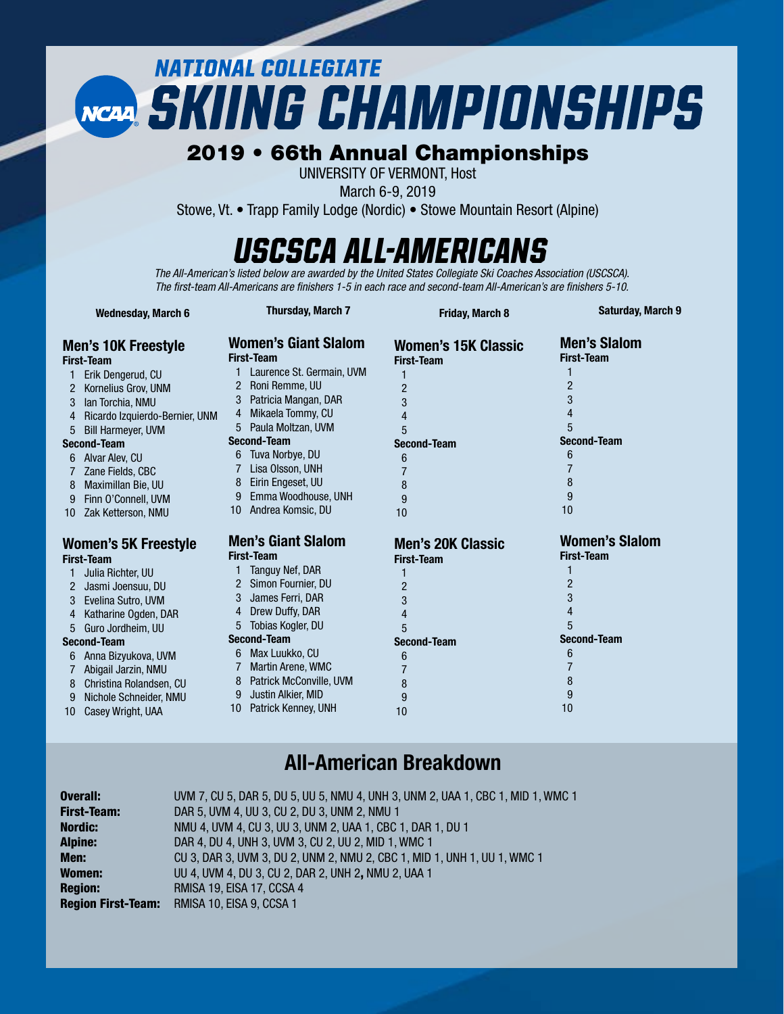# **NATIONAL COLLEGIATE NCARL SKIING CHAMPIONSHIPS**

#### 2019 • 66th Annual Championships

UNIVERSITY OF VERMONT, Host

March 6-9, 2019

Stowe, Vt. • Trapp Family Lodge (Nordic) • Stowe Mountain Resort (Alpine)

### *USCSCA All-Americans*

*The All-American's listed below are awarded by the United States Collegiate Ski Coaches Association (USCSCA). The first-team All-Americans are finishers 1-5 in each race and second-team All-American's are finishers 5-10.* 

| <b>Wednesday, March 6</b> |                                   | <b>Thursday, March 7</b> |                                                  | <b>Friday, March 8</b>                          | <b>Saturday, March 9</b>                 |  |  |
|---------------------------|-----------------------------------|--------------------------|--------------------------------------------------|-------------------------------------------------|------------------------------------------|--|--|
|                           | Men's 10K Freestyle<br>First-Team |                          | <b>Women's Giant Slalom</b><br><b>First-Team</b> | <b>Women's 15K Classic</b><br><b>First-Team</b> | <b>Men's Slalom</b><br><b>First-Team</b> |  |  |
|                           | Erik Dengerud, CU                 |                          | Laurence St. Germain, UVM                        |                                                 |                                          |  |  |
| 2                         | Kornelius Grov, UNM               | $\overline{2}$           | Roni Remme, UU                                   | $\overline{2}$                                  | $\overline{2}$                           |  |  |
| 3                         | Ian Torchia, NMU                  | 3                        | Patricia Mangan, DAR                             | 3                                               | 3                                        |  |  |
| 4                         | Ricardo Izquierdo-Bernier, UNM    | 4                        | Mikaela Tommy, CU                                | 4                                               | 4                                        |  |  |
| 5                         | <b>Bill Harmeyer, UVM</b>         |                          | Paula Moltzan, UVM                               | 5                                               | 5                                        |  |  |
|                           | <b>Second-Team</b>                |                          | <b>Second-Team</b>                               | <b>Second-Team</b>                              | <b>Second-Team</b>                       |  |  |
|                           | 6 Alvar Alev, CU                  |                          | Tuva Norbye, DU                                  | 6                                               | 6                                        |  |  |
|                           | Zane Fields, CBC                  |                          | Lisa Olsson, UNH                                 |                                                 |                                          |  |  |
| 8                         | Maximillan Bie, UU                | 8                        | Eirin Engeset, UU                                | 8                                               | 8                                        |  |  |
| 9                         | Finn O'Connell, UVM               | 9                        | Emma Woodhouse, UNH                              | 9                                               | 9                                        |  |  |
|                           | 10 Zak Ketterson, NMU             | 10                       | Andrea Komsic, DU                                | 10                                              | 10                                       |  |  |
|                           | Women's 5K Freestyle              |                          | <b>Men's Giant Slalom</b>                        | <b>Men's 20K Classic</b>                        | <b>Women's Slalom</b>                    |  |  |
|                           | First-Team                        |                          | <b>First-Team</b>                                | <b>First-Team</b>                               | <b>First-Team</b>                        |  |  |
|                           | Julia Richter, UU                 |                          | Tanguy Nef, DAR                                  |                                                 |                                          |  |  |
|                           | 2 Jasmi Joensuu, DU               | 2                        | Simon Fournier, DU                               | $\overline{2}$                                  | $\overline{2}$                           |  |  |
| 3                         | Evelina Sutro, UVM                |                          | James Ferri, DAR                                 | 3                                               | 3                                        |  |  |
| $\overline{4}$            | Katharine Ogden, DAR              | 4                        | Drew Duffy, DAR                                  | 4                                               | 4                                        |  |  |
| 5                         | Guro Jordheim, UU                 | 5                        | Tobias Kogler, DU                                | 5                                               | 5                                        |  |  |
|                           | <b>Second-Team</b>                |                          | <b>Second-Team</b>                               | <b>Second-Team</b>                              | <b>Second-Team</b>                       |  |  |
|                           | 6 Anna Bizyukova, UVM             | 6                        | Max Luukko, CU                                   | 6                                               | 6                                        |  |  |
|                           | Abigail Jarzin, NMU               |                          | <b>Martin Arene, WMC</b>                         |                                                 |                                          |  |  |
| 8                         | Christina Rolandsen, CU           | 8                        | Patrick McConville, UVM                          | 8                                               | 8                                        |  |  |
| 9                         | Nichole Schneider, NMU            | 9                        | Justin Alkier, MID                               | 9                                               | 9                                        |  |  |
| 10 <sup>°</sup>           | Casey Wright, UAA                 | 10                       | Patrick Kenney, UNH                              | 10                                              | 10                                       |  |  |
|                           |                                   |                          |                                                  |                                                 |                                          |  |  |

#### All-American Breakdown

| <b>Overall:</b>           | UVM 7, CU 5, DAR 5, DU 5, UU 5, NMU 4, UNH 3, UNM 2, UAA 1, CBC 1, MID 1, WMC 1 |
|---------------------------|---------------------------------------------------------------------------------|
| <b>First-Team:</b>        | DAR 5, UVM 4, UU 3, CU 2, DU 3, UNM 2, NMU 1                                    |
| <b>Nordic:</b>            | NMU 4, UVM 4, CU 3, UU 3, UNM 2, UAA 1, CBC 1, DAR 1, DU 1                      |
| <b>Alpine:</b>            | DAR 4, DU 4, UNH 3, UVM 3, CU 2, UU 2, MID 1, WMC 1                             |
| Men:                      | CU 3, DAR 3, UVM 3, DU 2, UNM 2, NMU 2, CBC 1, MID 1, UNH 1, UU 1, WMC 1        |
| Women:                    | UU 4, UVM 4, DU 3, CU 2, DAR 2, UNH 2, NMU 2, UAA 1                             |
| <b>Region:</b>            | RMISA 19, EISA 17, CCSA 4                                                       |
| <b>Region First-Team:</b> | RMISA 10, EISA 9, CCSA 1                                                        |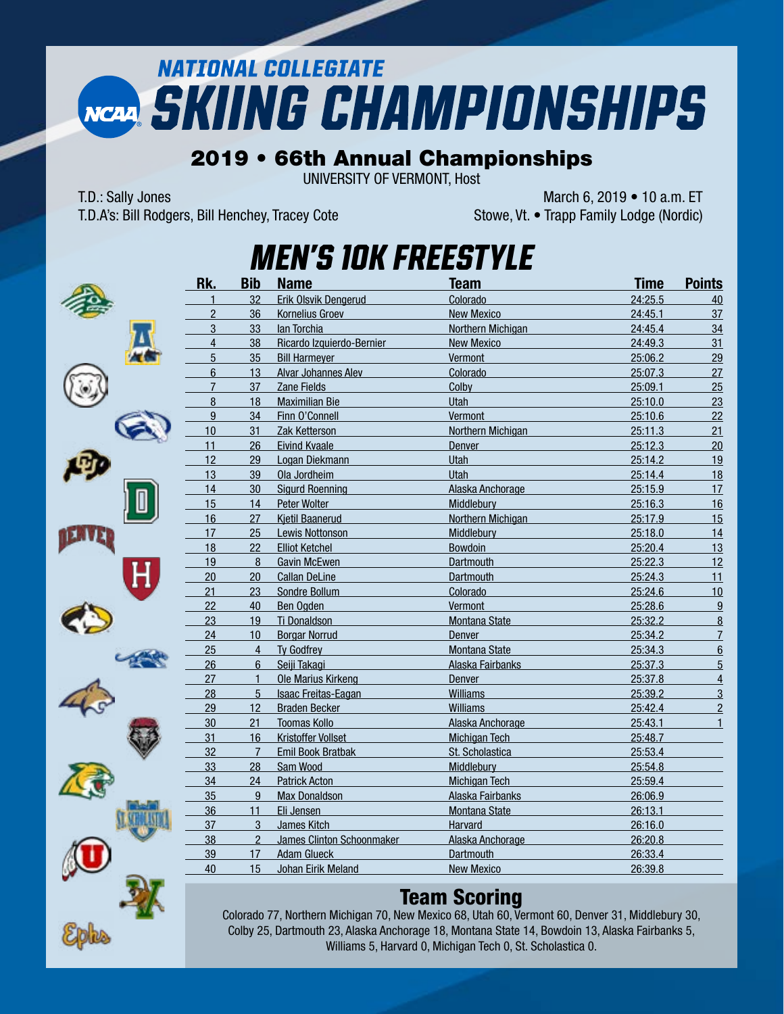# **NATIONAL COLLEGIATE** NCAA SKIING CHAMPIONSHIPS

#### 2019 • 66th Annual Championships

UNIVERSITY OF VERMONT, Host

T.D.A's: Bill Rodgers, Bill Henchey, Tracey Cote Stowe, Vt. • Trapp Family Lodge (Nordic)

T.D.: Sally Jones March 6, 2019 • 10 a.m. ET





### *Men's 10K Freestyle*

| 32<br>Colorado<br>24:25.5<br>$\mathbf{1}$<br>Erik Olsvik Dengerud<br>$\overline{2}$<br>36<br><b>Kornelius Groev</b><br><b>New Mexico</b><br>24:45.1<br>3<br>33<br>lan Torchia<br>Northern Michigan<br>24:45.4<br>4<br>38<br>Ricardo Izquierdo-Bernier<br>24:49.3<br><b>New Mexico</b><br>5<br>35<br>Vermont<br><b>Bill Harmeyer</b><br>25:06.2<br>$\boldsymbol{6}$<br>13<br>Alvar Johannes Alev<br>Colorado<br>25:07.3<br>$\overline{7}$<br>37<br>Colby<br>25:09.1<br>Zane Fields<br>$\bf 8$<br>18<br>Utah<br>25:10.0<br><b>Maximilian Bie</b><br>$\overline{9}$<br>34<br>Vermont<br>Finn O'Connell<br>25:10.6 | 40<br>37<br>34<br>31<br>29<br>27<br>25<br>23<br>22<br>21<br>20<br>19<br>18<br>17 |
|----------------------------------------------------------------------------------------------------------------------------------------------------------------------------------------------------------------------------------------------------------------------------------------------------------------------------------------------------------------------------------------------------------------------------------------------------------------------------------------------------------------------------------------------------------------------------------------------------------------|----------------------------------------------------------------------------------|
|                                                                                                                                                                                                                                                                                                                                                                                                                                                                                                                                                                                                                |                                                                                  |
|                                                                                                                                                                                                                                                                                                                                                                                                                                                                                                                                                                                                                |                                                                                  |
|                                                                                                                                                                                                                                                                                                                                                                                                                                                                                                                                                                                                                |                                                                                  |
|                                                                                                                                                                                                                                                                                                                                                                                                                                                                                                                                                                                                                |                                                                                  |
|                                                                                                                                                                                                                                                                                                                                                                                                                                                                                                                                                                                                                |                                                                                  |
|                                                                                                                                                                                                                                                                                                                                                                                                                                                                                                                                                                                                                |                                                                                  |
|                                                                                                                                                                                                                                                                                                                                                                                                                                                                                                                                                                                                                |                                                                                  |
|                                                                                                                                                                                                                                                                                                                                                                                                                                                                                                                                                                                                                |                                                                                  |
|                                                                                                                                                                                                                                                                                                                                                                                                                                                                                                                                                                                                                |                                                                                  |
| 10<br>31<br>Northern Michigan<br>25:11.3<br>Zak Ketterson                                                                                                                                                                                                                                                                                                                                                                                                                                                                                                                                                      |                                                                                  |
| 11<br>26<br>25:12.3<br><b>Eivind Kvaale</b><br>Denver                                                                                                                                                                                                                                                                                                                                                                                                                                                                                                                                                          |                                                                                  |
| 12<br>25:14.2<br>29<br>Utah<br>Logan Diekmann                                                                                                                                                                                                                                                                                                                                                                                                                                                                                                                                                                  |                                                                                  |
| 13<br>39<br>Ola Jordheim<br>Utah<br>25:14.4                                                                                                                                                                                                                                                                                                                                                                                                                                                                                                                                                                    |                                                                                  |
| 14<br>30<br><b>Sigurd Roenning</b><br>Alaska Anchorage<br>25:15.9                                                                                                                                                                                                                                                                                                                                                                                                                                                                                                                                              |                                                                                  |
| 15<br>14<br>Peter Wolter<br>Middlebury<br>25:16.3                                                                                                                                                                                                                                                                                                                                                                                                                                                                                                                                                              | 16                                                                               |
| 16<br>27<br>Kjetil Baanerud<br><b>Northern Michigan</b><br>25:17.9                                                                                                                                                                                                                                                                                                                                                                                                                                                                                                                                             | 15                                                                               |
| 17<br>25<br>Middlebury<br>25:18.0<br>Lewis Nottonson                                                                                                                                                                                                                                                                                                                                                                                                                                                                                                                                                           | 14                                                                               |
| 22<br>18<br>Bowdoin<br>25:20.4<br><b>Elliot Ketchel</b>                                                                                                                                                                                                                                                                                                                                                                                                                                                                                                                                                        | 13                                                                               |
| 19<br>$\overline{8}$<br>Dartmouth<br>25:22.3<br><b>Gavin McEwen</b>                                                                                                                                                                                                                                                                                                                                                                                                                                                                                                                                            | 12                                                                               |
| 20<br>20<br><b>Callan DeLine</b><br>Dartmouth<br>25:24.3                                                                                                                                                                                                                                                                                                                                                                                                                                                                                                                                                       | 11                                                                               |
| 21<br>23<br>Colorado<br>25:24.6<br>Sondre Bollum                                                                                                                                                                                                                                                                                                                                                                                                                                                                                                                                                               | 10                                                                               |
| 22<br>40<br>Ben Ogden<br>Vermont<br>25:28.6                                                                                                                                                                                                                                                                                                                                                                                                                                                                                                                                                                    | 9                                                                                |
| 23<br>19<br>Ti Donaldson<br><b>Montana State</b><br>25:32.2                                                                                                                                                                                                                                                                                                                                                                                                                                                                                                                                                    | $\underline{8}$                                                                  |
| 24<br>10<br><b>Borgar Norrud</b><br>Denver<br>25:34.2                                                                                                                                                                                                                                                                                                                                                                                                                                                                                                                                                          | $\overline{1}$                                                                   |
| 25<br>$\overline{4}$<br><b>Ty Godfrey</b><br>Montana State<br>25:34.3                                                                                                                                                                                                                                                                                                                                                                                                                                                                                                                                          | 6                                                                                |
| 26<br>$6\phantom{1}$<br>Seiji Takagi<br>Alaska Fairbanks<br>25:37.3                                                                                                                                                                                                                                                                                                                                                                                                                                                                                                                                            | $\overline{5}$                                                                   |
| 27<br>$\mathbf{1}$<br>Ole Marius Kirkeng<br>Denver<br>25:37.8                                                                                                                                                                                                                                                                                                                                                                                                                                                                                                                                                  | $\overline{4}$                                                                   |
| 28<br>5<br>Williams<br>25:39.2<br>Isaac Freitas-Eagan                                                                                                                                                                                                                                                                                                                                                                                                                                                                                                                                                          | $\overline{3}$                                                                   |
| 12<br>29<br><b>Braden Becker</b><br><b>Williams</b><br>25:42.4                                                                                                                                                                                                                                                                                                                                                                                                                                                                                                                                                 | $\overline{2}$                                                                   |
| 30<br>21<br><b>Toomas Kollo</b><br>25:43.1<br>Alaska Anchorage                                                                                                                                                                                                                                                                                                                                                                                                                                                                                                                                                 | $\mathbf{1}$                                                                     |
| 31<br>16<br>Kristoffer Vollset<br><b>Michigan Tech</b><br>25:48.7                                                                                                                                                                                                                                                                                                                                                                                                                                                                                                                                              |                                                                                  |
| 32<br>$\overline{7}$<br><b>Emil Book Bratbak</b><br>St. Scholastica<br>25:53.4                                                                                                                                                                                                                                                                                                                                                                                                                                                                                                                                 |                                                                                  |
| 33<br>28<br>25:54.8<br>Sam Wood<br>Middlebury                                                                                                                                                                                                                                                                                                                                                                                                                                                                                                                                                                  |                                                                                  |
| 34<br>24<br><b>Patrick Acton</b><br><b>Michigan Tech</b><br>25:59.4                                                                                                                                                                                                                                                                                                                                                                                                                                                                                                                                            |                                                                                  |
| 35<br>$\boldsymbol{9}$<br><b>Max Donaldson</b><br>Alaska Fairbanks<br>26:06.9                                                                                                                                                                                                                                                                                                                                                                                                                                                                                                                                  |                                                                                  |
| 36<br>11<br>Eli Jensen<br><b>Montana State</b><br>26:13.1                                                                                                                                                                                                                                                                                                                                                                                                                                                                                                                                                      |                                                                                  |
| 37<br>3<br>Harvard<br>26:16.0<br>James Kitch                                                                                                                                                                                                                                                                                                                                                                                                                                                                                                                                                                   |                                                                                  |
| 38<br>$\overline{2}$<br><b>James Clinton Schoonmaker</b><br>Alaska Anchorage<br>26:20.8                                                                                                                                                                                                                                                                                                                                                                                                                                                                                                                        |                                                                                  |
| 39<br>17<br><b>Adam Glueck</b><br>Dartmouth<br>26:33.4                                                                                                                                                                                                                                                                                                                                                                                                                                                                                                                                                         |                                                                                  |
| 40<br>15<br>Johan Eirik Meland<br><b>New Mexico</b><br>26:39.8                                                                                                                                                                                                                                                                                                                                                                                                                                                                                                                                                 |                                                                                  |

#### Team Scoring

Colorado 77, Northern Michigan 70, New Mexico 68, Utah 60, Vermont 60, Denver 31, Middlebury 30, Colby 25, Dartmouth 23, Alaska Anchorage 18, Montana State 14, Bowdoin 13, Alaska Fairbanks 5, Williams 5, Harvard 0, Michigan Tech 0, St. Scholastica 0.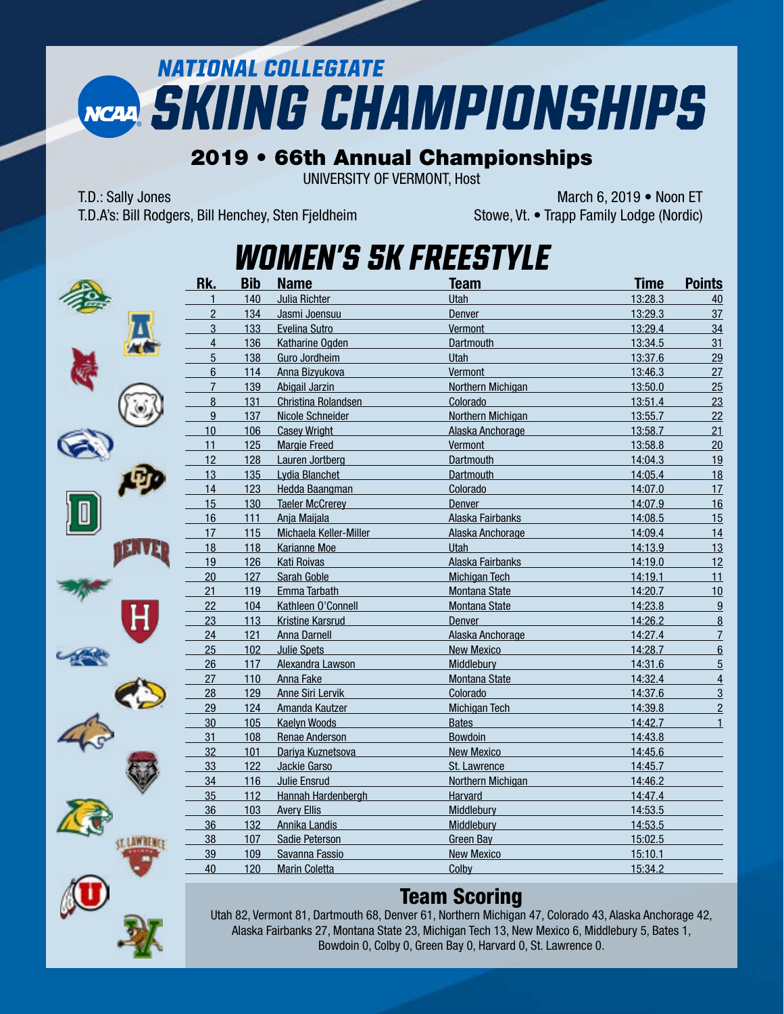# **NATIONAL COLLEGIATE NCAP, SKIING CHAMPIONSHIPS**

#### 2019 • 66th Annual Championships

UNIVERSITY OF VERMONT, Host

T.D.: Sally Jones March 6, 2019 • Noon ET T.D.A's: Bill Rodgers, Bill Henchey, Sten Fjeldheim Stowe, Vt. • Trapp Family Lodge (Nordic)





### *Women's 5K Freestyle*

| Rk.              | <b>Bib</b> | <b>Name</b>             | Team                 | <b>Time</b> | <b>Points</b>  |
|------------------|------------|-------------------------|----------------------|-------------|----------------|
| $\mathbf{1}$     | 140        | Julia Richter           | Utah                 | 13:28.3     | 40             |
| $\overline{2}$   | 134        | Jasmi Joensuu           | Denver               | 13:29.3     | 37             |
| 3                | 133        | Evelina Sutro           | Vermont              | 13:29.4     | 34             |
| $\overline{4}$   | 136        | Katharine Ogden         | Dartmouth            | 13:34.5     | 31             |
| 5                | 138        | Guro Jordheim           | <b>Utah</b>          | 13:37.6     | 29             |
| $6\phantom{a}$   | 114        | Anna Bizyukova          | Vermont              | 13:46.3     | 27             |
| $\overline{7}$   | 139        | Abigail Jarzin          | Northern Michigan    | 13:50.0     | 25             |
| $\boldsymbol{8}$ | 131        | Christina Rolandsen     | Colorado             | 13:51.4     | 23             |
| 9                | 137        | Nicole Schneider        | Northern Michigan    | 13:55.7     | 22             |
| 10               | 106        | <b>Casey Wright</b>     | Alaska Anchorage     | 13:58.7     | 21             |
| 11               | 125        | <b>Margie Freed</b>     | Vermont              | 13:58.8     | 20             |
| 12               | 128        | Lauren Jortberg         | <b>Dartmouth</b>     | 14:04.3     | 19             |
| 13               | 135        | Lydia Blanchet          | <b>Dartmouth</b>     | 14:05.4     | 18             |
| 14               | 123        | Hedda Baangman          | Colorado             | 14:07.0     | 17             |
| 15               | 130        | <b>Taeler McCrerey</b>  | <b>Denver</b>        | 14:07.9     | 16             |
| 16               | 111        | Anja Maijala            | Alaska Fairbanks     | 14:08.5     | 15             |
| 17               | 115        | Michaela Keller-Miller  | Alaska Anchorage     | 14:09.4     | 14             |
| 18               | 118        | <b>Karianne Moe</b>     | Utah                 | 14:13.9     | 13             |
| 19               | 126        | <b>Kati Roivas</b>      | Alaska Fairbanks     | 14:19.0     | 12             |
| 20               | 127        | Sarah Goble             | <b>Michigan Tech</b> | 14:19.1     | 11             |
| 21               | 119        | Emma Tarbath            | Montana State        | 14:20.7     | 10             |
| 22               | 104        | Kathleen O'Connell      | <b>Montana State</b> | 14:23.8     | 9              |
| 23               | 113        | <b>Kristine Karsrud</b> | <b>Denver</b>        | 14:26.2     | 8              |
| 24               | 121        | Anna Darnell            | Alaska Anchorage     | 14:27.4     | $\overline{1}$ |
| 25               | 102        | <b>Julie Spets</b>      | <b>New Mexico</b>    | 14:28.7     | 6              |
| 26               | 117        | Alexandra Lawson        | Middlebury           | 14:31.6     | $\overline{5}$ |
| 27               | 110        | <b>Anna Fake</b>        | <b>Montana State</b> | 14:32.4     | $\overline{4}$ |
| 28               | 129        | <b>Anne Siri Lervik</b> | Colorado             | 14:37.6     | $\overline{3}$ |
| 29               | 124        | Amanda Kautzer          | <b>Michigan Tech</b> | 14:39.8     | $\overline{2}$ |
| 30               | 105        | <b>Kaelyn Woods</b>     | <b>Bates</b>         | 14:42.7     | $\mathbf{1}$   |
| 31               | 108        | Renae Anderson          | <b>Bowdoin</b>       | 14:43.8     |                |
| 32               | 101        | Dariya Kuznetsova       | <b>New Mexico</b>    | 14:45.6     |                |
| 33               | 122        | Jackie Garso            | St. Lawrence         | 14:45.7     |                |
| 34               | 116        | Julie Ensrud            | Northern Michigan    | 14:46.2     |                |
| 35               | 112        | Hannah Hardenbergh      | <b>Harvard</b>       | 14:47.4     |                |
| 36               | 103        | <b>Avery Ellis</b>      | Middlebury           | 14:53.5     |                |
| 36               | 132        | <b>Annika Landis</b>    | Middlebury           | 14:53.5     |                |
| 38               | 107        | Sadie Peterson          | <b>Green Bay</b>     | 15:02.5     |                |
| 39               | 109        | Savanna Fassio          | <b>New Mexico</b>    | 15:10.1     |                |
| 40               | 120        | <b>Marin Coletta</b>    | Colby                | 15:34.2     |                |
|                  |            |                         |                      |             |                |

#### Team Scoring

Utah 82, Vermont 81, Dartmouth 68, Denver 61, Northern Michigan 47, Colorado 43, Alaska Anchorage 42, Alaska Fairbanks 27, Montana State 23, Michigan Tech 13, New Mexico 6, Middlebury 5, Bates 1, Bowdoin 0, Colby 0, Green Bay 0, Harvard 0, St. Lawrence 0.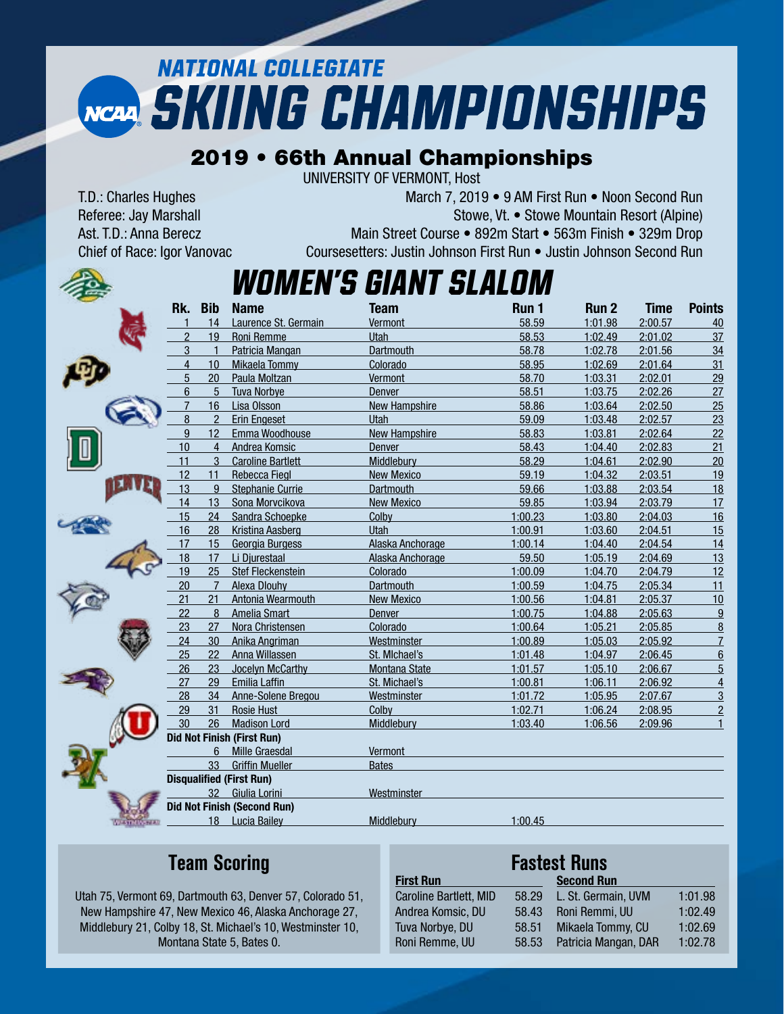# **NATIONAL COLLEGIATE NCAP SKIING CHAMPIONSHIPS**

#### 2019 • 66th Annual Championships

UNIVERSITY OF VERMONT, Host

T.D.: Charles Hughes March 7, 2019 • 9 AM First Run • Noon Second Run Referee: Jay Marshall Stowe, Vt. • Stowe, Vt. • Stowe Mountain Resort (Alpine) Ast. T.D.: Anna Berecz Main Street Course • 892m Start • 563m Finish • 329m Drop Chief of Race: Igor Vanovac Coursesetters: Justin Johnson First Run • Justin Johnson Second Run

### *Women's GIANT SLALOM*

| Rk.            | <b>Bib</b>     | <b>Name</b>                        | <b>Team</b>          | Run 1   | Run <sub>2</sub> | <b>Time</b> | <b>Points</b>  |
|----------------|----------------|------------------------------------|----------------------|---------|------------------|-------------|----------------|
|                | 14             | Laurence St. Germain               | Vermont              | 58.59   | 1:01.98          | 2:00.57     | 40             |
| 2              | 19             | Roni Remme                         | Utah                 | 58.53   | 1:02.49          | 2:01.02     | 37             |
| 3              | 1              | Patricia Mangan                    | <b>Dartmouth</b>     | 58.78   | 1:02.78          | 2:01.56     | 34             |
| 4              | 10             | Mikaela Tommy                      | Colorado             | 58.95   | 1:02.69          | 2:01.64     | 31             |
| 5              | 20             | Paula Moltzan                      | Vermont              | 58.70   | 1:03.31          | 2:02.01     | 29             |
| 6              | 5              | <b>Tuva Norbve</b>                 | <b>Denver</b>        | 58.51   | 1:03.75          | 2:02.26     | 27             |
| $\overline{7}$ | 16             | Lisa Olsson                        | <b>New Hampshire</b> | 58.86   | 1:03.64          | 2:02.50     | 25             |
| 8              | $\overline{2}$ | <b>Erin Engeset</b>                | Utah                 | 59.09   | 1:03.48          | 2:02.57     | 23             |
| 9              | 12             | Emma Woodhouse                     | New Hampshire        | 58.83   | 1:03.81          | 2:02.64     | 22             |
| 10             | $\overline{4}$ | Andrea Komsic                      | <b>Denver</b>        | 58.43   | 1:04.40          | 2:02.83     | 21             |
| 11             | 3              | <b>Caroline Bartlett</b>           | Middlebury           | 58.29   | 1:04.61          | 2:02.90     | 20             |
| 12             | 11             | <b>Rebecca Fiegl</b>               | <b>New Mexico</b>    | 59.19   | 1:04.32          | 2:03.51     | 19             |
| 13             | 9              | <b>Stephanie Currie</b>            | <b>Dartmouth</b>     | 59.66   | 1:03.88          | 2:03.54     | 18             |
| 14             | 13             | Sona Morvcikova                    | <b>New Mexico</b>    | 59.85   | 1:03.94          | 2:03.79     | 17             |
| 15             | 24             | Sandra Schoepke                    | Colby                | 1:00.23 | 1:03.80          | 2:04.03     | 16             |
| 16             | 28             | Kristina Aasberg                   | Utah                 | 1:00.91 | 1:03.60          | 2:04.51     | 15             |
| 17             | 15             | Georgia Burgess                    | Alaska Anchorage     | 1:00.14 | 1:04.40          | 2:04.54     | 14             |
| 18             | 17             | Li Djurestaal                      | Alaska Anchorage     | 59.50   | 1:05.19          | 2:04.69     | 13             |
| 19             | 25             | Stef Fleckenstein                  | Colorado             | 1:00.09 | 1:04.70          | 2:04.79     | 12             |
| 20             | $\overline{7}$ | Alexa Dlouhy                       | Dartmouth            | 1:00.59 | 1:04.75          | 2:05.34     | 11             |
| 21             | 21             | Antonia Wearmouth                  | <b>New Mexico</b>    | 1:00.56 | 1:04.81          | 2:05.37     | 10             |
| 22             | 8              | Amelia Smart                       | Denver               | 1:00.75 | 1:04.88          | 2:05.63     | 9              |
| 23             | 27             | Nora Christensen                   | Colorado             | 1:00.64 | 1:05.21          | 2:05.85     | $\overline{8}$ |
| 24             | 30             | Anika Angriman                     | Westminster          | 1:00.89 | 1:05.03          | 2:05.92     | $\overline{7}$ |
| 25             | 22             | Anna Willassen                     | St. Michael's        | 1:01.48 | 1:04.97          | 2:06.45     | 6              |
| 26             | 23             | Jocelyn McCarthy                   | Montana State        | 1:01.57 | 1:05.10          | 2:06.67     | $\overline{5}$ |
| 27             | 29             | <b>Emilia Laffin</b>               | St. Michael's        | 1:00.81 | 1:06.11          | 2:06.92     | $\overline{4}$ |
| 28             | 34             | Anne-Solene Bregou                 | Westminster          | 1:01.72 | 1:05.95          | 2:07.67     | $\overline{3}$ |
| 29             | 31             | <b>Rosie Hust</b>                  | Colby                | 1:02.71 | 1:06.24          | 2:08.95     | $\overline{2}$ |
| 30             | 26             | <b>Madison Lord</b>                | Middlebury           | 1:03.40 | 1:06.56          | 2:09.96     | $\mathbf{1}$   |
|                |                | <b>Did Not Finish (First Run)</b>  |                      |         |                  |             |                |
|                | 6              | <b>Mille Graesdal</b>              | Vermont              |         |                  |             |                |
|                | 33             | <b>Griffin Mueller</b>             | <b>Bates</b>         |         |                  |             |                |
|                |                | <b>Disqualified (First Run)</b>    |                      |         |                  |             |                |
|                | 32             | Giulia Lorini                      | Westminster          |         |                  |             |                |
|                |                | <b>Did Not Finish (Second Run)</b> |                      |         |                  |             |                |
|                |                | 18 Lucia Bailey                    | <b>Middlebury</b>    | 1:00.45 |                  |             |                |
|                |                |                                    |                      |         |                  |             |                |

### **Team Scoring**

Utah 75, Vermont 69, Dartmouth 63, Denver 57, Colorado 51, New Hampshire 47, New Mexico 46, Alaska Anchorage 27, Middlebury 21, Colby 18, St. Michael's 10, Westminster 10, Montana State 5, Bates 0.

#### **Fastest Runs**

| <b>First Run</b>       |       | <b>Second Run</b>    |         |
|------------------------|-------|----------------------|---------|
| Caroline Bartlett, MID | 58.29 | L. St. Germain, UVM  | 1:01.98 |
| Andrea Komsic, DU      | 58.43 | Roni Remmi, UU       | 1:02.49 |
| Tuva Norbye, DU        | 58.51 | Mikaela Tommy, CU    | 1:02.69 |
| Roni Remme, UU         | 58.53 | Patricia Mangan, DAR | 1:02.78 |